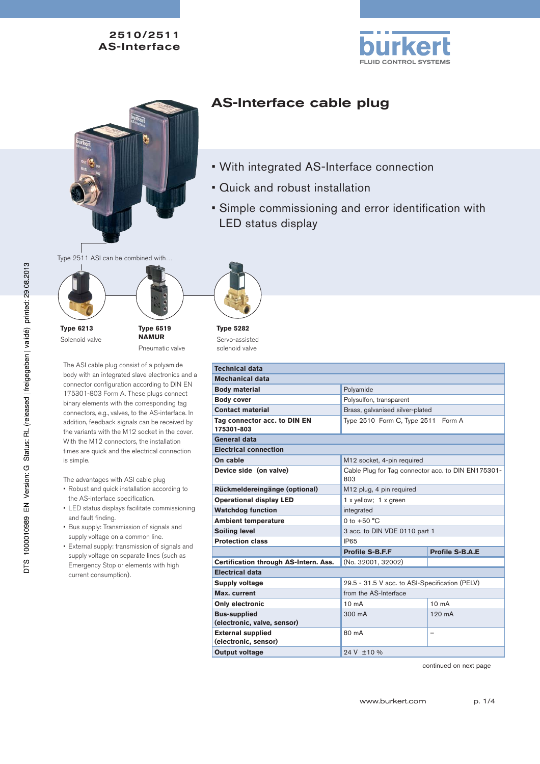



# AS-Interface cable plug

- With integrated AS-Interface connection
- Quick and robust installation
- Simple commissioning and error identification with LED status display

Type 2511 ASI can be combined with…



Solenoid valve



The ASI cable plug consist of a polyamide body with an integrated slave electronics and a connector configuration according to DIN EN 175301-803 Form A. These plugs connect binary elements with the corresponding tag connectors, e.g., valves, to the AS-interface. In addition, feedback signals can be received by the variants with the M12 socket in the cover. With the M12 connectors, the installation times are quick and the electrical connection is simple.

The advantages with ASI cable plug

- Robust and quick installation according to the AS-interface specification.
- LED status displays facilitate commissioning and fault finding.
- Bus supply: Transmission of signals and supply voltage on a common line.
- External supply: transmission of signals and supply voltage on separate lines (such as Emergency Stop or elements with high current consumption).



**Type 5282** Servo-assisted solenoid valve

| <b>Technical data</b>                      |                                                           |                        |
|--------------------------------------------|-----------------------------------------------------------|------------------------|
| Mechanical data                            |                                                           |                        |
| <b>Body material</b>                       | Polyamide                                                 |                        |
| <b>Body cover</b>                          | Polysulfon, transparent                                   |                        |
| <b>Contact material</b>                    | Brass, galvanised silver-plated                           |                        |
| Tag connector acc. to DIN EN<br>175301-803 | Type 2510 Form C, Type 2511 Form A                        |                        |
| General data                               |                                                           |                        |
| <b>Electrical connection</b>               |                                                           |                        |
| On cable                                   | M12 socket, 4-pin required                                |                        |
| Device side (on valve)                     | Cable Plug for Tag connector acc. to DIN EN175301-<br>803 |                        |
| Rückmeldereingänge (optional)              | M12 plug, 4 pin required                                  |                        |
| <b>Operational display LED</b>             | 1 x yellow; 1 x green                                     |                        |
| <b>Watchdog function</b>                   | integrated                                                |                        |
| <b>Ambient temperature</b>                 | 0 to $+50 °C$                                             |                        |
| <b>Soiling level</b>                       | 3 acc. to DIN VDE 0110 part 1                             |                        |
| <b>Protection class</b>                    | <b>IP65</b>                                               |                        |
|                                            | <b>Profile S-B.F.F</b>                                    | <b>Profile S-B.A.E</b> |
| Certification through AS-Intern. Ass.      | (No. 32001, 32002)                                        |                        |
| <b>Electrical data</b>                     |                                                           |                        |
| <b>Supply voltage</b>                      | 29.5 - 31.5 V acc. to ASI-Specification (PELV)            |                        |
| Max. current                               | from the AS-Interface                                     |                        |
| Only electronic                            | 10 <sub>m</sub> A                                         | $10 \text{ mA}$        |
| <b>Bus-supplied</b>                        | 300 mA                                                    | $120 \text{ mA}$       |
| (electronic, valve, sensor)                |                                                           |                        |
| <b>External supplied</b>                   | 80 mA                                                     | -                      |
| (electronic, sensor)                       |                                                           |                        |
| <b>Output voltage</b>                      | 24 V ±10 %                                                |                        |

continued on next page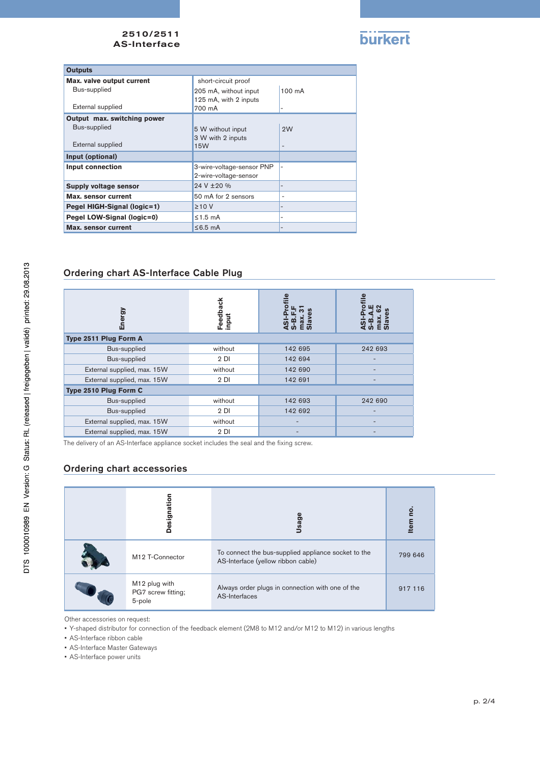

| <b>Outputs</b>              |                           |                          |
|-----------------------------|---------------------------|--------------------------|
| Max. valve output current   | short-circuit proof       |                          |
| Bus-supplied                | 205 mA, without input     | $100 \text{ mA}$         |
|                             | 125 mA, with 2 inputs     |                          |
| External supplied           | 700 mA                    |                          |
| Output max. switching power |                           |                          |
| Bus-supplied                | 5 W without input         | 2W                       |
|                             | 3 W with 2 inputs         |                          |
| External supplied           | 15W                       | $\overline{\phantom{0}}$ |
| Input (optional)            |                           |                          |
| <b>Input connection</b>     | 3-wire-voltage-sensor PNP | ۰                        |
|                             | 2-wire-voltage-sensor     |                          |
| Supply voltage sensor       | 24 V ± 20 %               |                          |
| Max. sensor current         | 50 mA for 2 sensors       | ۰                        |
| Pegel HIGH-Signal (logic=1) | $\geq 10$ V               | $\overline{\phantom{a}}$ |
| Pegel LOW-Signal (logic=0)  | $\leq$ 1.5 mA             | $\overline{\phantom{0}}$ |
| Max. sensor current         | $\leq$ 6.5 mA             | $\overline{\phantom{a}}$ |

# Ordering chart AS-Interface Cable Plug

| Energy                      | Feedback<br>input |         | $\stackrel{\bullet}{=}$ |
|-----------------------------|-------------------|---------|-------------------------|
| Type 2511 Plug Form A       |                   |         |                         |
| Bus-supplied                | without           | 142 695 | 242 693                 |
| Bus-supplied                | 2 <sub>D1</sub>   | 142 694 |                         |
| External supplied, max. 15W | without           | 142 690 |                         |
| External supplied, max. 15W | 2 <sub>D1</sub>   | 142 691 |                         |
| Type 2510 Plug Form C       |                   |         |                         |
| Bus-supplied                | without           | 142 693 | 242 690                 |
| Bus-supplied                | 2 <sub>D1</sub>   | 142 692 |                         |
| External supplied, max. 15W | without           |         |                         |
| External supplied, max. 15W | 2 <sub>D1</sub>   |         |                         |

The delivery of an AS-Interface appliance socket includes the seal and the fixing screw.

## Ordering chart accessories

| Designatio                                    | Usag                                                                                      | g<br><b>Item</b> |
|-----------------------------------------------|-------------------------------------------------------------------------------------------|------------------|
| M12 T-Connector                               | To connect the bus-supplied appliance socket to the<br>AS-Interface (yellow ribbon cable) | 799 646          |
| M12 plug with<br>PG7 screw fitting;<br>5-pole | Always order plugs in connection with one of the<br>AS-Interfaces                         | 917 116          |

Other accessories on request:

• Y-shaped distributor for connection of the feedback element (2M8 to M12 and/or M12 to M12) in various lengths

• AS-Interface ribbon cable

• AS-Interface Master Gateways

• AS-Interface power units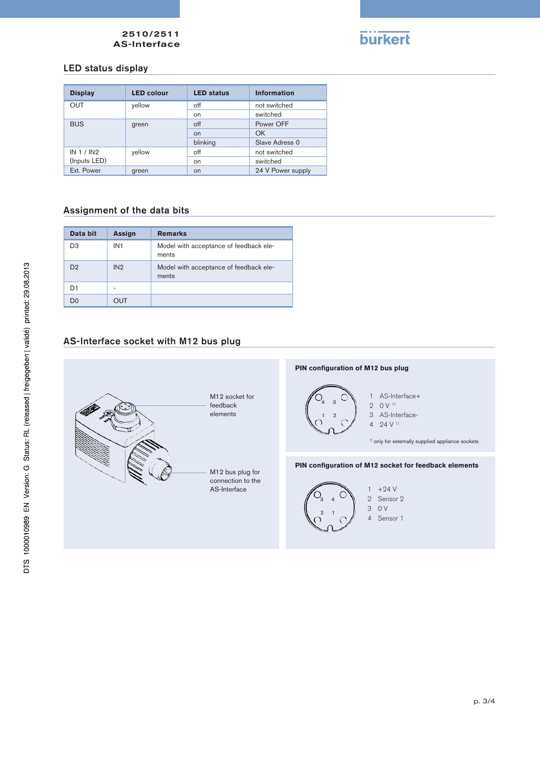

## LED status display

| <b>Display</b> | <b>LED colour</b> | <b>LED status</b> | <b>Information</b> |
|----------------|-------------------|-------------------|--------------------|
| <b>OUT</b>     | yellow            | off               | not switched       |
|                |                   | on                | switched           |
| <b>BUS</b>     | green             | $\circ$ ff        | Power OFF          |
|                |                   | <b>on</b>         | OK                 |
|                |                   | blinking          | Slave Adress 0     |
| IN 1 / IN2     | yellow            | off               | not switched       |
| (Inputs LED)   |                   | on                | switched           |
| Ext. Power     | green             | on                | 24 V Power supply  |

#### Assignment of the data bits

| Data bit       | <b>Assign</b>   | <b>Remarks</b>                                  |
|----------------|-----------------|-------------------------------------------------|
| D <sub>3</sub> | IN <sub>1</sub> | Model with acceptance of feedback ele-<br>ments |
| D <sub>2</sub> | IN2             | Model with acceptance of feedback ele-<br>ments |
| D1             | -               |                                                 |
| D۵             | OUT             |                                                 |

## AS-Interface socket with M12 bus plug